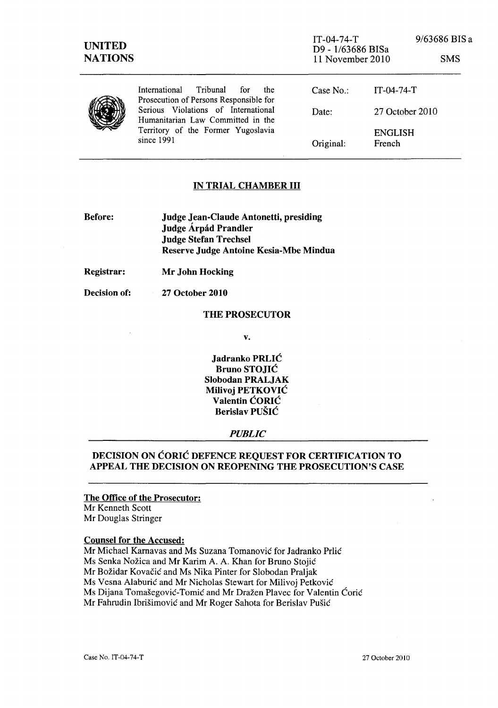|  | Tribunal<br>International<br>for<br>the<br>Prosecution of Persons Responsible for                                              | Case $No:$ | $IT-04-74-T$             |
|--|--------------------------------------------------------------------------------------------------------------------------------|------------|--------------------------|
|  | Serious Violations of International<br>Humanitarian Law Committed in the<br>Territory of the Former Yugoslavia<br>since $1991$ | Date:      | 27 October 2010          |
|  |                                                                                                                                | Original:  | <b>ENGLISH</b><br>French |

## IN TRIAL CHAMBER III

| <b>Before:</b> | <b>Judge Jean-Claude Antonetti, presiding</b> |
|----------------|-----------------------------------------------|
|                | Judge Árpád Prandler                          |
|                | <b>Judge Stefan Trechsel</b>                  |
|                | Reserve Judge Antoine Kesia-Mbe Mindua        |

Registrar: Mr John Hocking

Decision of:

27 October 2010

### THE PROSECUTOR

v.

Jadranko PRLIC Bruno STOJIC Slobodan PRALJAK Milivoj PETKOVIC Valentin CORIC Berislav PUŠIĆ

### *PUBLIC*

# DECISION ON CORIC DEFENCE REQUEST FOR CERTIFICATION TO APPEAL THE DECISION ON REOPENING THE PROSECUTION'S CASE

#### The Office of the Prosecutor:

Mr Kenneth Scott Mr Douglas Stringer

#### Counsel for the Accused:

Mr Michael Karnavas and Ms Suzana Tomanovic for ladranko Prlic

Ms Senka Nožica and Mr Karim A. A. Khan for Bruno Stojić

Mr Božidar Kovačić and Ms Nika Pinter for Slobodan Praljak

Ms Vesna Alaburić and Mr Nicholas Stewart for Milivoj Petković

Ms Dijana Tomašegović-Tomić and Mr Dražen Plavec for Valentin Ćorić

Mr Fahrudin Ibrišimović and Mr Roger Sahota for Berislav Pušić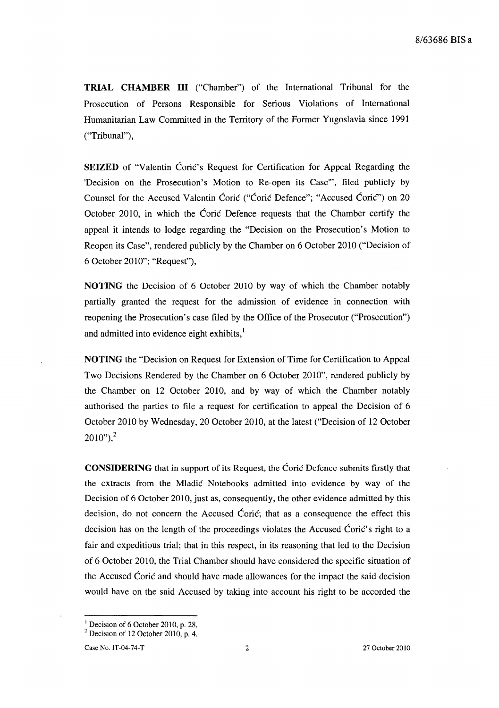**TRIAL CHAMBER III** ("Chamber") of the International Tribunal for the Prosecution of Persons Responsible for Serious Violations of International Humanitarian Law Committed in the Territory of the Former Yugoslavia since 1991 ("Tribunal"),

**SEIZED** of "Valentin Coric's Request for Certification for Appeal Regarding the 'Decision on the Prosecution's Motion to Re-open its Case"', filed publicly by Counsel for the Accused Valentin Corie ("Corie Defence"; "Accused Corie") on 20 October 2010, in which the Corie Defence requests that the Chamber certify the appeal it intends to lodge regarding the "Decision on the Prosecution's Motion to Reopen its Case", rendered publicly by the Chamber on 6 October 2010 ("Decision of 6 October 2010"; "Request"),

**NOTING** the Decision of 6 October 2010 by way of which the Chamber notably partially granted the request for the admission of evidence in connection with reopening the Prosecution's case filed by the Office of the Prosecutor ("Prosecution") and admitted into evidence eight exhibits, $\frac{1}{2}$ 

**NOTING** the "Decision on Request for Extension of Time for Certification to Appeal Two Decisions Rendered by the Chamber on 6 October 2010", rendered publicly by the Chamber on 12 October 2010, and by way of which the Chamber notably authorised the parties to file a request for certification to appeal the Decision of 6 October 2010 by Wednesday, 20 October 2010, at the latest ("Decision of 12 October  $2010"$ <sup>2</sup>

**CONSIDERING** that in support of its Request, the Corie Defence submits firstly that the extracts from the Mladie Notebooks admitted into evidence by way of the Decision of 6 October 2010, just as, consequently, the other evidence admitted by this decision, do not concern the Accused Coric; that as a consequence the effect this decision has on the length of the proceedings violates the Accused Corie's right to a fair and expeditious trial; that in this respect, in its reasoning that led to the Decision of 6 October 2010, the Trial Chamber should have considered the specific situation of the Accused Coric and should have made allowances for the impact the said decision would have on the said Accused by taking into account his right to be accorded the

<sup>&</sup>lt;sup>1</sup> Decision of 6 October 2010, p. 28.

 $2$  Decision of 12 October 2010, p. 4.

Case No. IT-04-74-T 2 27 October 2010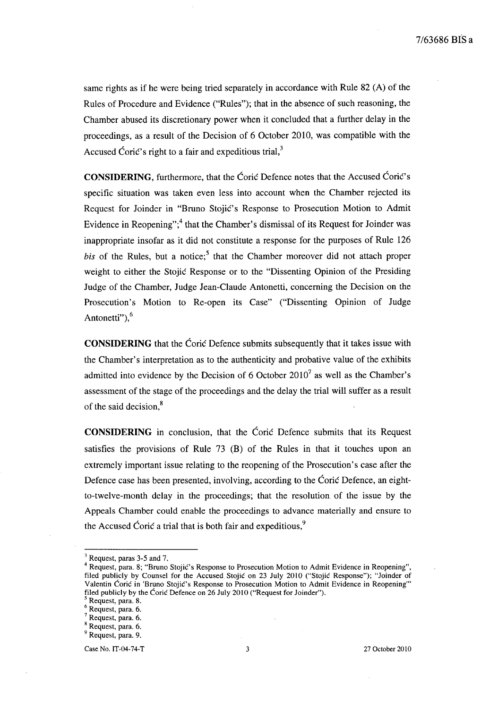same rights as if he were being tried separately in accordance with Rule 82 (A) of the Rules of Procedure and Evidence ("Rules"); that in the absence of such reasoning, the Chamber abused its discretionary power when it concluded that a further delay in the proceedings, as a result of the Decision of 6 October 2010, was compatible with the Accused Coric's right to a fair and expeditious trial, $3$ 

**CONSIDERING,** furthermore, that the Coric Defence notes that the Accused Corie's specific situation was taken even less into account when the Chamber rejected its Request for Joinder in "Bruno Stojic's Response to Prosecution Motion to Admit Evidence in Reopening";<sup>4</sup> that the Chamber's dismissal of its Request for Joinder was inappropriate insofar as it did not constitute a response for the purposes of Rule 126  $bis$  of the Rules, but a notice;<sup>5</sup> that the Chamber moreover did not attach proper weight to either the Stojić Response or to the "Dissenting Opinion of the Presiding Judge of the Chamber, Judge Jean-Claude Antonetti, concerning the Decision on the Prosecution's Motion to Re-open its Case" ("Dissenting Opinion of Judge Antonetti"), $<sup>6</sup>$ </sup>

**CONSIDERING** that the Coric Defence submits subsequently that it takes issue with the Chamber's interpretation as to the authenticity and probative value of the exhibits admitted into evidence by the Decision of 6 October 2010<sup>7</sup> as well as the Chamber's assessment of the stage of the proceedings and the delay the trial will suffer as a result of the said decision,<sup>8</sup>

**CONSIDERING** in conclusion, that the Corie Defence submits that its Request satisfies the provisions of Rule 73 (B) of the Rules in that it touches upon an extremely important issue relating to the reopening of the Prosecution's case after the Defence case has been presented, involving, according to the Coric Defence, an eightto-twelve-month delay in the proceedings; that the resolution of the issue by the Appeals Chamber could enable the proceedings to advance materially and ensure to the Accused Coric a trial that is both fair and expeditious, $\frac{9}{2}$ 

<sup>3</sup> Request, paras 3-5 and 7.

<sup>4</sup> Request, para. 8; "Bruno Stojie's Response to Prosecution Motion to Admit Evidence in Reopening", filed publicly by Counsel for the Accused. Stojie on 23 July 2010 ("Stojic Response"); "Joinder of Valentin Coric in 'Bruno Stojic's Response to Prosecution Motion to Admit Evidence in Reopening" filed publicly by the Coric Defence on 26 July 2010 ("Request for Joinder").

<sup>5</sup> Request, para. 8.

<sup>6</sup> Request, para. 6.

<sup>7</sup> Request, para. 6.

<sup>8</sup> Request, para. 6.

<sup>&</sup>lt;sup>9</sup> Request, para. 9.

Case No. IT-04-74-T 3 27 October 2010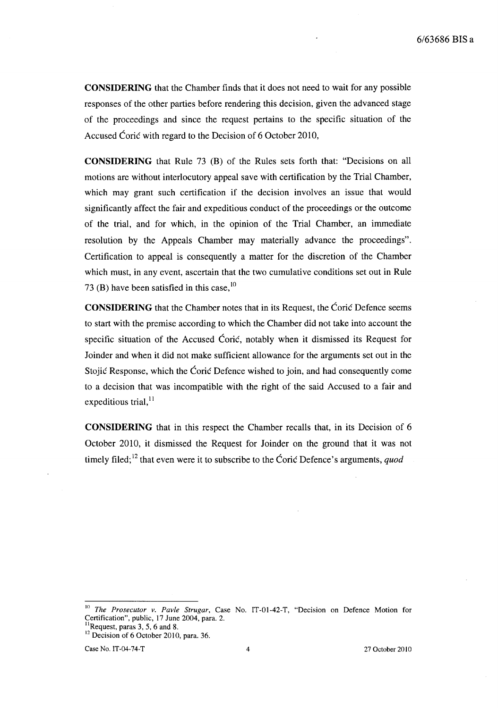**CONSIDERING** that the Chamber finds that it does not need to wait for any possible responses of the other parties before rendering this decision, given the advanced stage of the proceedings and since the request pertains to the specific situation of the Accused Coric with regard to the Decision of 6 October 2010,

**CONSIDERING** that Rule 73 (B) of the Rules sets forth that: "Decisions on all motions are without interlocutory appeal save with certification by the Trial Chamber, which may grant such certification if the decision involves an issue that would significantly affect the fair and expeditious conduct of the proceedings or the outcome of the trial, and for which, in the opinion of the Trial Chamber, an immediate resolution by the Appeals Chamber may materially advance the proceedings". Certification to appeal is consequently a matter for the discretion of the Chamber which must, in any event, ascertain that the two cumulative conditions set out in Rule 73 (B) have been satisfied in this case,  $\frac{10}{2}$ 

**CONSIDERING** that the Chamber notes that in its Request, the Corie Defence seems to start with the premise according to which the Chamber did not take into account the specific situation of the Accused Coric, notably when it dismissed its Request for Joinder and when it did not make sufficient allowance for the arguments set out in the Stojie Response, which the Corie Defence wished to join, and had consequently come to a decision that was incompatible with the right of the said Accused to a fair and expeditious trial, $^{11}$ 

**CONSIDERING** that in this respect the Chamber recalls that, in its Decision of 6 October 2010, it dismissed the Request for Joinder on the ground that it was not timely filed;<sup>12</sup> that even were it to subscribe to the Coric Defence's arguments, *quod* 

<sup>&</sup>lt;sup>10</sup> *The Prosecutor v. Pavle Strugar, Case No. IT-01-42-T, "Decision on Defence Motion for* Certification", public, 17 June 2004, para. 2.

 $<sup>11</sup>$ Request, paras 3, 5, 6 and 8.</sup>

<sup>&</sup>lt;sup>12</sup> Decision of 6 October 2010, para. 36.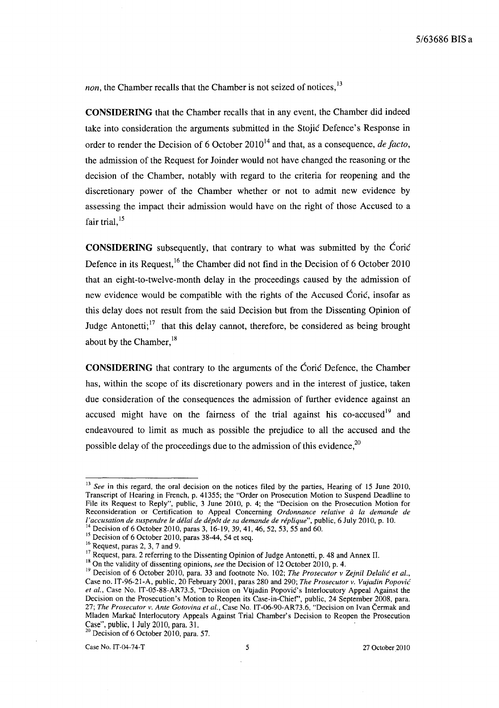*non,* the Chamber recalls that the Chamber is not seized of notices,<sup>13</sup>

**CONSIDERING** that the Chamber recalls that in any event, the Chamber did indeed take into consideration the arguments submitted in the Stojie Defence's Response in order to render the Decision of 6 October 2010<sup>14</sup> and that, as a consequence, *de facto*, the admission of the Request for Joinder would not have changed the reasoning or the decision of the Chamber, notably with regard to the criteria for reopening and the discretionary power of the Chamber whether or not to admit new evidence by assessing the impact their admission would have on the right of those Accused to a fair trial, $15$ 

**CONSIDERING** subsequently, that contrary to what was submitted by the Corie Defence in its Request,<sup>16</sup> the Chamber did not find in the Decision of 6 October 2010 that an eight-to-twelve-month delay in the proceedings caused by the admission of new evidence would be compatible with the rights of the Accused Ćorić, insofar as this delay does not result from the said Decision but from the Dissenting Opinion of Judge Antonetti;  $17$  that this delay cannot, therefore, be considered as being brought about by the Chamber,<sup>18</sup>

**CONSIDERING** that contrary to the arguments of the Corie Defence, the Chamber has, within the scope of its discretionary powers and in the interest of justice, taken due consideration of the consequences the admission of further evidence against an accused might have on the fairness of the trial against his co-accused<sup>19</sup> and endeavoured to limit as much as possible the prejudice to all the accused and the possible delay of the proceedings due to the admission of this evidence,  $20$ 

<sup>&</sup>lt;sup>13</sup> See in this regard, the oral decision on the notices filed by the parties, Hearing of 15 June 2010, Transcript of Hearing in French, p. 41355; the "Order on Prosecution Motion to Suspend Deadline to File its Request to Reply", public, 3 June 2010, p. 4; the "Decision on the Prosecution Motion for Reconsideration or Certification to Appeal Concerning *Ordonnance relative a la demande de ['accusation de suspendre le delai de depot de sa demande de replique",* public, 6 July 2010, p. 10.

<sup>&</sup>lt;sup>14</sup> Decision of 6 October 2010, paras 3, 16-19, 39, 41, 46, 52, 53, 55 and 60.

 $\frac{15}{15}$  Decision of 6 October 2010, paras 38-44, 54 et seq.

 $16$  Request, paras 2, 3, 7 and 9.

<sup>&</sup>lt;sup>17</sup> Request, para. 2 referring to the Dissenting Opinion of Judge Antonetti, p. 48 and Annex II.

<sup>&</sup>lt;sup>18</sup> On the validity of dissenting opinions, *see* the Decision of 12 October 2010, p. 4.

<sup>&</sup>lt;sup>19</sup> Decision of 6 October 2010, para. 33 and footnote No. 102; *The Prosecutor v Zejnil Delalić et al.*, Case no. IT-96-21-A, public, 20 February 2001, paras 280 and 290; *The Prosecutor v. Vujadin Popovic et al.,* Case No. IT-05-88-AR73.5, "Decision on Vujadin Popovic's Interlocutory Appeal Against the Decision on the Prosecution's Motion to Reopen its Case-in-Chief', public, 24 September 2008, para. *27; The Prosecutor* v. *Ante Gotovina et al.,* Case No. IT-06-90-AR73.6, "Decision on Ivan Cermak and Mladen Markac Interlocutory Appeals Against Trial Chamber's Decision to Reopen the Prosecution Case", public, 1 July 2010, para. 31.<br><sup>20</sup> Decision of 6 October 2010, para. 57.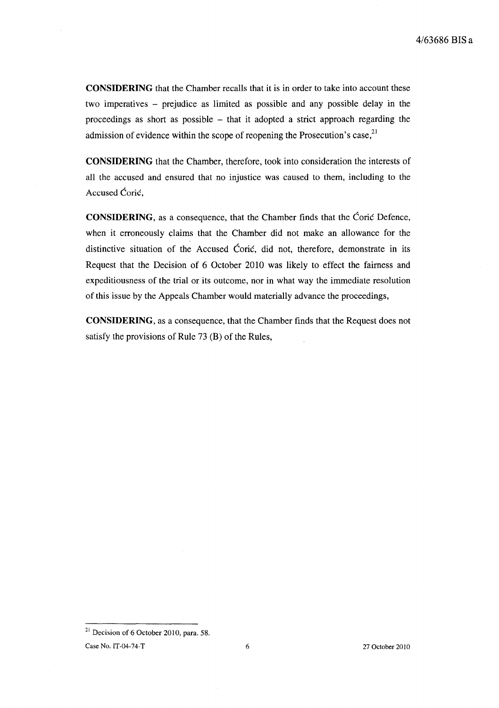**CONSIDERING** that the Chamber recalls that it is in order to take into account these two imperatives - prejudice as limited as possible and any possible delay in the proceedings as short as possible - that it adopted a strict approach regarding the admission of evidence within the scope of reopening the Prosecution's case,  $2<sup>1</sup>$ 

**CONSIDERING** that the Chamber, therefore, took into consideration the interests of all the accused and ensured that no injustice was caused to them, including to the Accused Coric.

**CONSIDERING,** as a consequence, that the Chamber finds that the Corie Defence, when it erroneously claims that the Chamber did not make an allowance for the distinctive situation of the Accused Coric, did not, therefore, demonstrate in its Request that the Decision of 6 October 2010 was likely to effect the fairness and expeditiousness of the trial or its outcome, nor in what way the immediate resolution of this issue by the Appeals Chamber would materially advance the proceedings,

**CONSIDERING,** as a consequence, that the Chamber finds that the Request does not satisfy the provisions of Rule 73 (B) of the Rules,

 $21$  Decision of 6 October 2010, para. 58.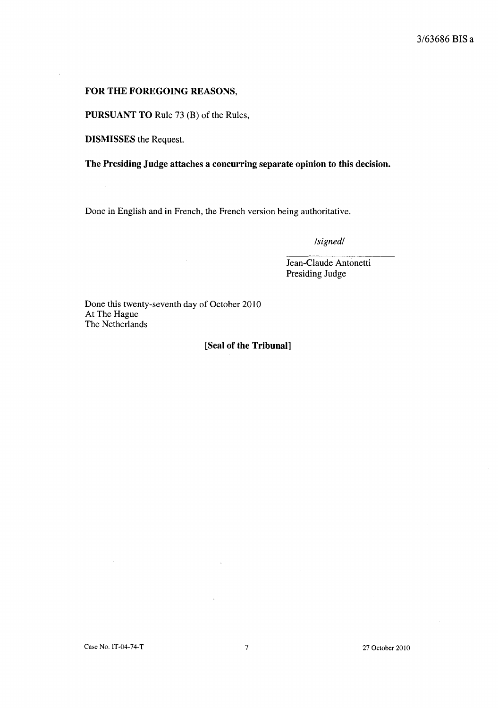## 3/63686 **BIS a**

#### **FOR THE FOREGOING REASONS,**

**PURSUANT TO** Rule 73 (B) of the Rules,

**DISMISSES** the Request.

**The Presiding Judge attaches a concurring separate opinion to this decision.** 

Done in English and in French, the French version being authoritative.

*/signed/* 

Jean-Claude Antonetti Presiding Judge

Done this twenty-seventh day of October 2010 At The Hague The Netherlands

 $\mathcal{A}^{\mathcal{A}}$ 

#### **[Seal of the Tribunal]**

 $\mathcal{A}$ 

 $\bar{\lambda}$ 

 $\bar{1}$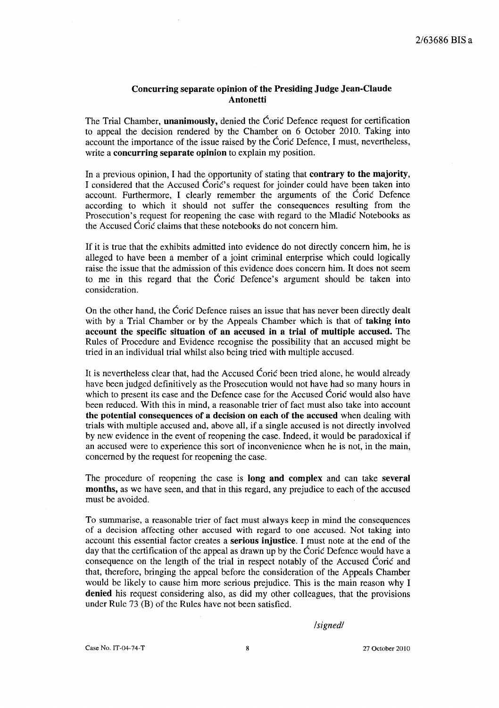### Concurring separate opinion of the Presiding Judge Jean-Claude Antonetti

The Trial Chamber, **unanimously**, denied the Coric Defence request for certification to appeal the decision rendered by the Chamber on 6 October 2010. Taking into account the importance of the issue raised by the Corie Defence, I must, nevertheless, write a concurring separate opinion to explain my position.

In a previous opinion, I had the opportunity of stating that **contrary to the majority**, I considered that the Accused Coric's request for joinder could have been taken into account. Furthermore, I clearly remember the arguments of the Corie Defence according to which it should not suffer the consequences resulting from the Prosecution's request for reopening the case with regard to the Mladie Notebooks as the Accused Coric claims that these notebooks do not concern him.

If it is true that the exhibits admitted into evidence do not directly concern him, he is alleged to have been a member of a joint criminal enterprise which could logically raise the issue that the admission of this evidence does concern him. It does not seem to me in this regard that the Corie Defence's argument should be taken into consideration.

On the other hand, the Ćorić Defence raises an issue that has never been directly dealt with by a Trial Chamber or by the Appeals Chamber which is that of taking into account the specific situation of an accused in a trial of multiple accused. The Rules of Procedure and Evidence recognise the possibility that an accused might be tried in an individual trial whilst also being tried with multiple accused.

It is nevertheless clear that, had the Accused Coric been tried alone, he would already have been judged definitively as the Prosecution would not have had so many hours in which to present its case and the Defence case for the Accused Corie would also have been reduced. With this in mind, a reasonable trier of fact must also take into account the potential consequences of a decision on each of the accused when dealing with trials with multiple accused and, above all, if a single accused is not directly involved by new evidence in the event of reopening the case. Indeed, it would be paradoxical if an accused were to experience this sort of inconvenience when he is not, in the main, concerned by the request for reopening the case.

The procedure of reopening the case is long and complex and can take several months, as we have seen, and that in this regard, any prejudice to each of the accused must be avoided.

To summarise, a reasonable trier of fact must always keep in mind the consequences of a decision affecting other accused with regard to one accused. Not taking into account this essential factor creates a serious injustice. I must note at the end of the day that the certification of the appeal as drawn up by the Corie Defence would have a consequence on the length of the trial in respect notably of the Accused Corie and that, therefore, bringing the appeal before the consideration of the Appeals Chamber would be likely to cause him more serious prejudice. This is the main reason why I denied his request considering also, as did my other colleagues, that the provisions under Rule  $73$  (B) of the Rules have not been satisfied.

*/signed/*